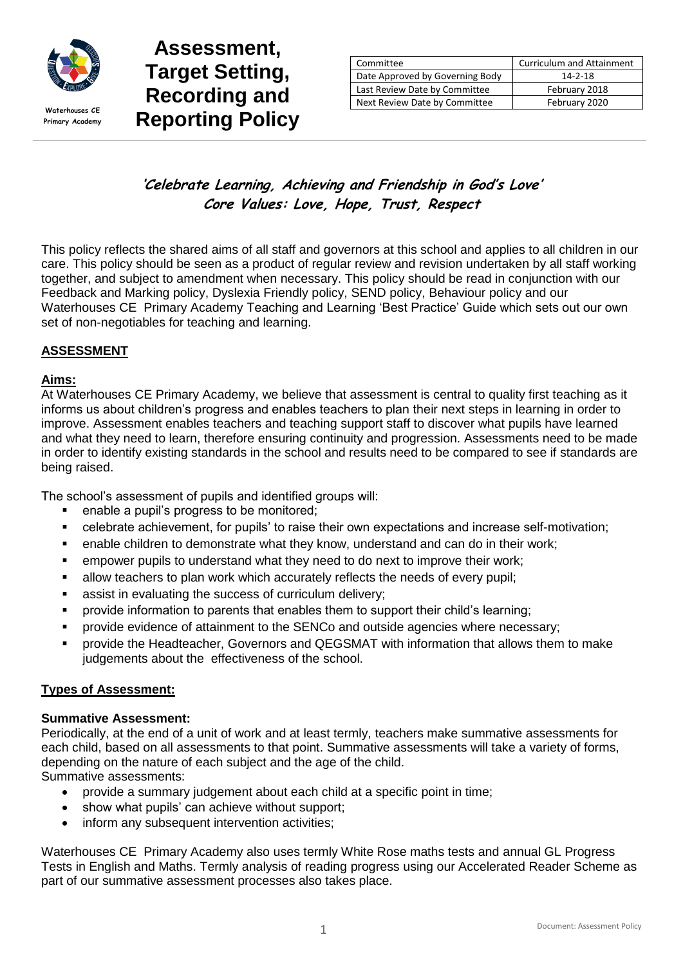

**Primary Academy**

# **Assessment, Target Setting, Recording and**  Waterhouses CE **Reporting Policy**

| Committee                       | <b>Curriculum and Attainment</b> |
|---------------------------------|----------------------------------|
| Date Approved by Governing Body | $14 - 2 - 18$                    |
| Last Review Date by Committee   | February 2018                    |
| Next Review Date by Committee   | February 2020                    |

# **'Celebrate Learning, Achieving and Friendship in God's Love' Core Values: Love, Hope, Trust, Respect**

This policy reflects the shared aims of all staff and governors at this school and applies to all children in our care. This policy should be seen as a product of regular review and revision undertaken by all staff working together, and subject to amendment when necessary. This policy should be read in conjunction with our Feedback and Marking policy, Dyslexia Friendly policy, SEND policy, Behaviour policy and our Waterhouses CE Primary Academy Teaching and Learning 'Best Practice' Guide which sets out our own set of non-negotiables for teaching and learning.

# **ASSESSMENT**

# **Aims:**

At Waterhouses CE Primary Academy, we believe that assessment is central to quality first teaching as it informs us about children's progress and enables teachers to plan their next steps in learning in order to improve. Assessment enables teachers and teaching support staff to discover what pupils have learned and what they need to learn, therefore ensuring continuity and progression. Assessments need to be made in order to identify existing standards in the school and results need to be compared to see if standards are being raised.

The school's assessment of pupils and identified groups will:

- enable a pupil's progress to be monitored;
- celebrate achievement, for pupils' to raise their own expectations and increase self-motivation;
- enable children to demonstrate what they know, understand and can do in their work;
- empower pupils to understand what they need to do next to improve their work;
- allow teachers to plan work which accurately reflects the needs of every pupil;
- assist in evaluating the success of curriculum delivery;
- provide information to parents that enables them to support their child's learning;
- provide evidence of attainment to the SENCo and outside agencies where necessary;
- provide the Headteacher, Governors and QEGSMAT with information that allows them to make judgements about the effectiveness of the school.

#### **Types of Assessment:**

#### **Summative Assessment:**

Periodically, at the end of a unit of work and at least termly, teachers make summative assessments for each child, based on all assessments to that point. Summative assessments will take a variety of forms, depending on the nature of each subject and the age of the child.

Summative assessments:

- provide a summary judgement about each child at a specific point in time;
- show what pupils' can achieve without support;
- inform any subsequent intervention activities:

Waterhouses CE Primary Academy also uses termly White Rose maths tests and annual GL Progress Tests in English and Maths. Termly analysis of reading progress using our Accelerated Reader Scheme as part of our summative assessment processes also takes place.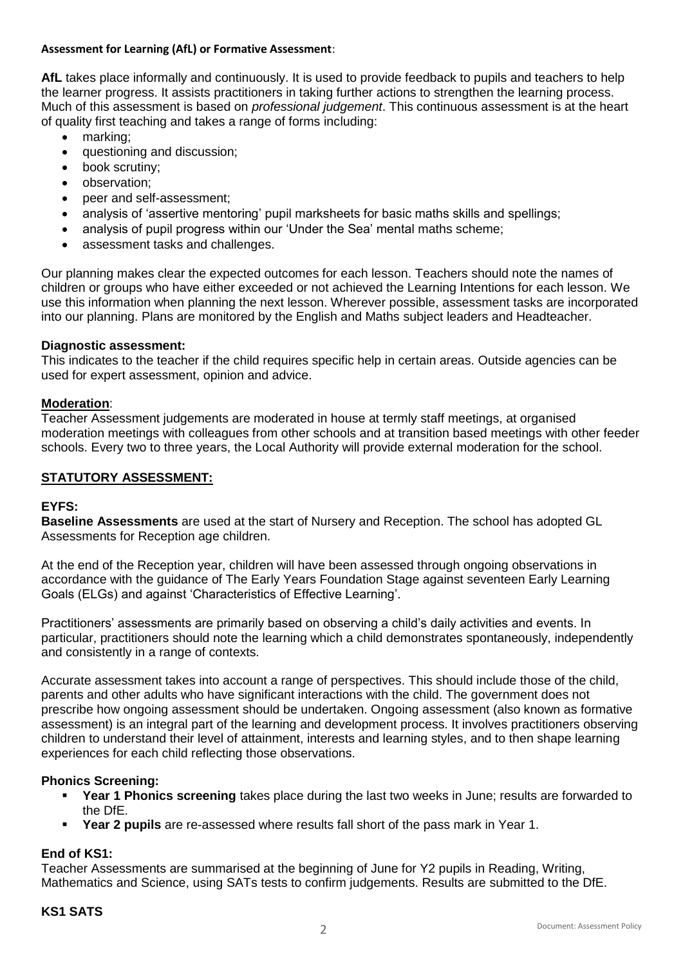#### **Assessment for Learning (AfL) or Formative Assessment**:

**AfL** takes place informally and continuously. It is used to provide feedback to pupils and teachers to help the learner progress. It assists practitioners in taking further actions to strengthen the learning process. Much of this assessment is based on *professional judgement*. This continuous assessment is at the heart of quality first teaching and takes a range of forms including:

- marking:
- questioning and discussion;
- book scrutiny;
- observation;
- peer and self-assessment;
- analysis of 'assertive mentoring' pupil marksheets for basic maths skills and spellings;
- analysis of pupil progress within our 'Under the Sea' mental maths scheme;
- assessment tasks and challenges.

Our planning makes clear the expected outcomes for each lesson. Teachers should note the names of children or groups who have either exceeded or not achieved the Learning Intentions for each lesson. We use this information when planning the next lesson. Wherever possible, assessment tasks are incorporated into our planning. Plans are monitored by the English and Maths subject leaders and Headteacher.

#### **Diagnostic assessment:**

This indicates to the teacher if the child requires specific help in certain areas. Outside agencies can be used for expert assessment, opinion and advice.

#### **Moderation**:

Teacher Assessment judgements are moderated in house at termly staff meetings, at organised moderation meetings with colleagues from other schools and at transition based meetings with other feeder schools. Every two to three years, the Local Authority will provide external moderation for the school.

#### **STATUTORY ASSESSMENT:**

#### **EYFS:**

**Baseline Assessments** are used at the start of Nursery and Reception. The school has adopted GL Assessments for Reception age children.

At the end of the Reception year, children will have been assessed through ongoing observations in accordance with the guidance of The Early Years Foundation Stage against seventeen Early Learning Goals (ELGs) and against 'Characteristics of Effective Learning'.

Practitioners' assessments are primarily based on observing a child's daily activities and events. In particular, practitioners should note the learning which a child demonstrates spontaneously, independently and consistently in a range of contexts.

Accurate assessment takes into account a range of perspectives. This should include those of the child, parents and other adults who have significant interactions with the child. The government does not prescribe how ongoing assessment should be undertaken. Ongoing assessment (also known as formative assessment) is an integral part of the learning and development process. It involves practitioners observing children to understand their level of attainment, interests and learning styles, and to then shape learning experiences for each child reflecting those observations.

#### **Phonics Screening:**

- **Year 1 Phonics screening** takes place during the last two weeks in June; results are forwarded to the DfE.
- **Year 2 pupils** are re-assessed where results fall short of the pass mark in Year 1.

#### **End of KS1:**

Teacher Assessments are summarised at the beginning of June for Y2 pupils in Reading, Writing, Mathematics and Science, using SATs tests to confirm judgements. Results are submitted to the DfE.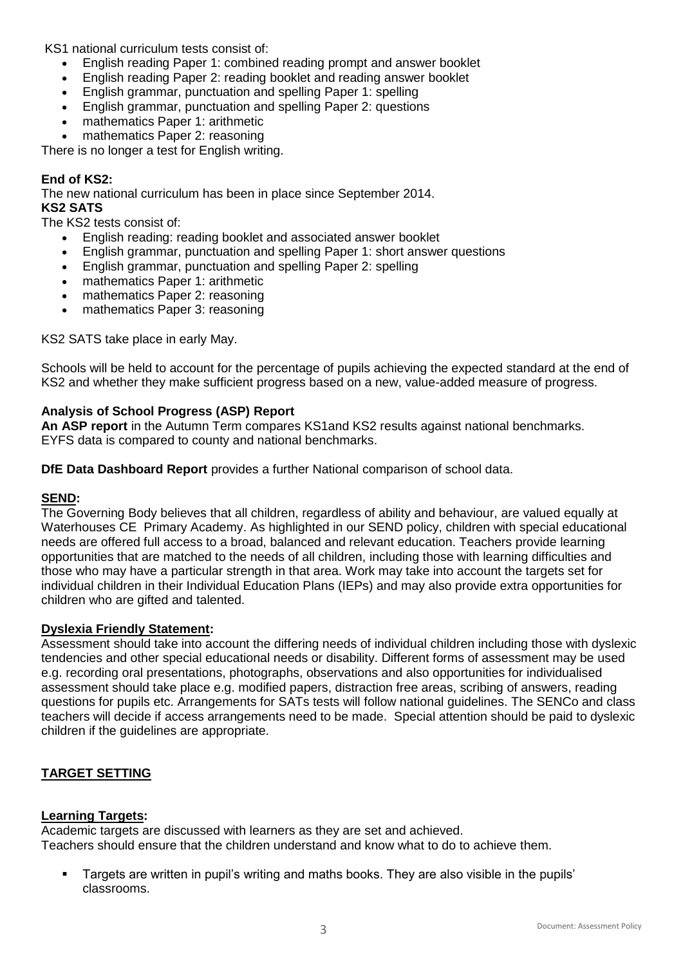KS1 national curriculum tests consist of:

- English reading Paper 1: combined reading prompt and answer booklet
- English reading Paper 2: reading booklet and reading answer booklet
- English grammar, punctuation and spelling Paper 1: spelling
- English grammar, punctuation and spelling Paper 2: questions
- mathematics Paper 1: arithmetic
- mathematics Paper 2: reasoning

There is no longer a test for English writing.

#### **End of KS2:**

The new national curriculum has been in place since September 2014.

# **KS2 SATS**

The KS2 tests consist of:

- English reading: reading booklet and associated answer booklet
- English grammar, punctuation and spelling Paper 1: short answer questions
- English grammar, punctuation and spelling Paper 2: spelling
- mathematics Paper 1: arithmetic
- mathematics Paper 2: reasoning
- mathematics Paper 3: reasoning

KS2 SATS take place in early May.

Schools will be held to account for the percentage of pupils achieving the expected standard at the end of KS2 and whether they make sufficient progress based on a new, value-added measure of progress.

#### **Analysis of School Progress (ASP) Report**

**An ASP report** in the Autumn Term compares KS1and KS2 results against national benchmarks. EYFS data is compared to county and national benchmarks.

**DfE Data Dashboard Report** provides a further National comparison of school data.

#### **SEND:**

The Governing Body believes that all children, regardless of ability and behaviour, are valued equally at Waterhouses CE Primary Academy. As highlighted in our SEND policy, children with special educational needs are offered full access to a broad, balanced and relevant education. Teachers provide learning opportunities that are matched to the needs of all children, including those with learning difficulties and those who may have a particular strength in that area. Work may take into account the targets set for individual children in their Individual Education Plans (IEPs) and may also provide extra opportunities for children who are gifted and talented.

#### **Dyslexia Friendly Statement:**

Assessment should take into account the differing needs of individual children including those with dyslexic tendencies and other special educational needs or disability. Different forms of assessment may be used e.g. recording oral presentations, photographs, observations and also opportunities for individualised assessment should take place e.g. modified papers, distraction free areas, scribing of answers, reading questions for pupils etc. Arrangements for SATs tests will follow national guidelines. The SENCo and class teachers will decide if access arrangements need to be made. Special attention should be paid to dyslexic children if the guidelines are appropriate.

# **TARGET SETTING**

#### **Learning Targets:**

Academic targets are discussed with learners as they are set and achieved. Teachers should ensure that the children understand and know what to do to achieve them.

 Targets are written in pupil's writing and maths books. They are also visible in the pupils' classrooms.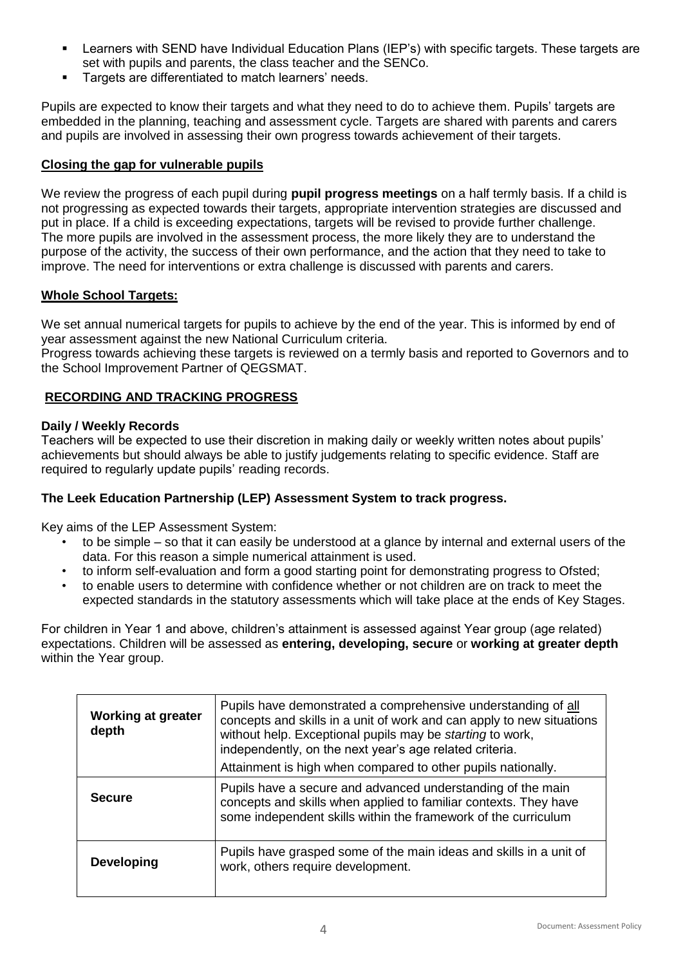- Learners with SEND have Individual Education Plans (IEP's) with specific targets. These targets are set with pupils and parents, the class teacher and the SENCo.
- Targets are differentiated to match learners' needs.

Pupils are expected to know their targets and what they need to do to achieve them. Pupils' targets are embedded in the planning, teaching and assessment cycle. Targets are shared with parents and carers and pupils are involved in assessing their own progress towards achievement of their targets.

#### **Closing the gap for vulnerable pupils**

We review the progress of each pupil during **pupil progress meetings** on a half termly basis. If a child is not progressing as expected towards their targets, appropriate intervention strategies are discussed and put in place. If a child is exceeding expectations, targets will be revised to provide further challenge. The more pupils are involved in the assessment process, the more likely they are to understand the purpose of the activity, the success of their own performance, and the action that they need to take to improve. The need for interventions or extra challenge is discussed with parents and carers.

#### **Whole School Targets:**

We set annual numerical targets for pupils to achieve by the end of the year. This is informed by end of year assessment against the new National Curriculum criteria.

Progress towards achieving these targets is reviewed on a termly basis and reported to Governors and to the School Improvement Partner of QEGSMAT.

#### **RECORDING AND TRACKING PROGRESS**

#### **Daily / Weekly Records**

Teachers will be expected to use their discretion in making daily or weekly written notes about pupils' achievements but should always be able to justify judgements relating to specific evidence. Staff are required to regularly update pupils' reading records.

#### **The Leek Education Partnership (LEP) Assessment System to track progress.**

Key aims of the LEP Assessment System:

- to be simple so that it can easily be understood at a glance by internal and external users of the data. For this reason a simple numerical attainment is used.
- to inform self-evaluation and form a good starting point for demonstrating progress to Ofsted;
- to enable users to determine with confidence whether or not children are on track to meet the expected standards in the statutory assessments which will take place at the ends of Key Stages.

For children in Year 1 and above, children's attainment is assessed against Year group (age related) expectations. Children will be assessed as **entering, developing, secure** or **working at greater depth**  within the Year group.

| <b>Working at greater</b><br>depth | Pupils have demonstrated a comprehensive understanding of all<br>concepts and skills in a unit of work and can apply to new situations<br>without help. Exceptional pupils may be starting to work,<br>independently, on the next year's age related criteria.<br>Attainment is high when compared to other pupils nationally. |
|------------------------------------|--------------------------------------------------------------------------------------------------------------------------------------------------------------------------------------------------------------------------------------------------------------------------------------------------------------------------------|
| <b>Secure</b>                      | Pupils have a secure and advanced understanding of the main<br>concepts and skills when applied to familiar contexts. They have<br>some independent skills within the framework of the curriculum                                                                                                                              |
| <b>Developing</b>                  | Pupils have grasped some of the main ideas and skills in a unit of<br>work, others require development.                                                                                                                                                                                                                        |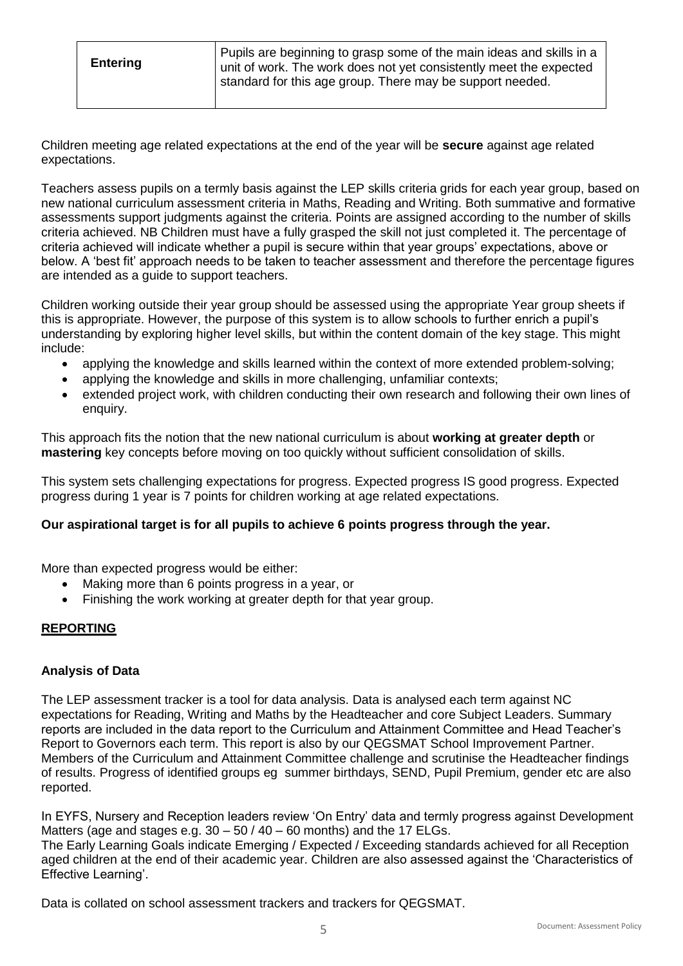| <b>Entering</b> | Pupils are beginning to grasp some of the main ideas and skills in a<br>unit of work. The work does not yet consistently meet the expected |
|-----------------|--------------------------------------------------------------------------------------------------------------------------------------------|
|                 | standard for this age group. There may be support needed.                                                                                  |

Children meeting age related expectations at the end of the year will be **secure** against age related expectations.

Teachers assess pupils on a termly basis against the LEP skills criteria grids for each year group, based on new national curriculum assessment criteria in Maths, Reading and Writing. Both summative and formative assessments support judgments against the criteria. Points are assigned according to the number of skills criteria achieved. NB Children must have a fully grasped the skill not just completed it. The percentage of criteria achieved will indicate whether a pupil is secure within that year groups' expectations, above or below. A 'best fit' approach needs to be taken to teacher assessment and therefore the percentage figures are intended as a guide to support teachers.

Children working outside their year group should be assessed using the appropriate Year group sheets if this is appropriate. However, the purpose of this system is to allow schools to further enrich a pupil's understanding by exploring higher level skills, but within the content domain of the key stage. This might include:

- applying the knowledge and skills learned within the context of more extended problem-solving;
- applying the knowledge and skills in more challenging, unfamiliar contexts;
- extended project work, with children conducting their own research and following their own lines of enquiry.

This approach fits the notion that the new national curriculum is about **working at greater depth** or **mastering** key concepts before moving on too quickly without sufficient consolidation of skills.

This system sets challenging expectations for progress. Expected progress IS good progress. Expected progress during 1 year is 7 points for children working at age related expectations.

#### **Our aspirational target is for all pupils to achieve 6 points progress through the year.**

More than expected progress would be either:

- Making more than 6 points progress in a year, or
- Finishing the work working at greater depth for that year group.

# **REPORTING**

#### **Analysis of Data**

The LEP assessment tracker is a tool for data analysis. Data is analysed each term against NC expectations for Reading, Writing and Maths by the Headteacher and core Subject Leaders. Summary reports are included in the data report to the Curriculum and Attainment Committee and Head Teacher's Report to Governors each term. This report is also by our QEGSMAT School Improvement Partner. Members of the Curriculum and Attainment Committee challenge and scrutinise the Headteacher findings of results. Progress of identified groups eg summer birthdays, SEND, Pupil Premium, gender etc are also reported.

In EYFS, Nursery and Reception leaders review 'On Entry' data and termly progress against Development Matters (age and stages e.g.  $30 - 50 / 40 - 60$  months) and the 17 ELGs.

The Early Learning Goals indicate Emerging / Expected / Exceeding standards achieved for all Reception aged children at the end of their academic year. Children are also assessed against the 'Characteristics of Effective Learning'.

Data is collated on school assessment trackers and trackers for QEGSMAT.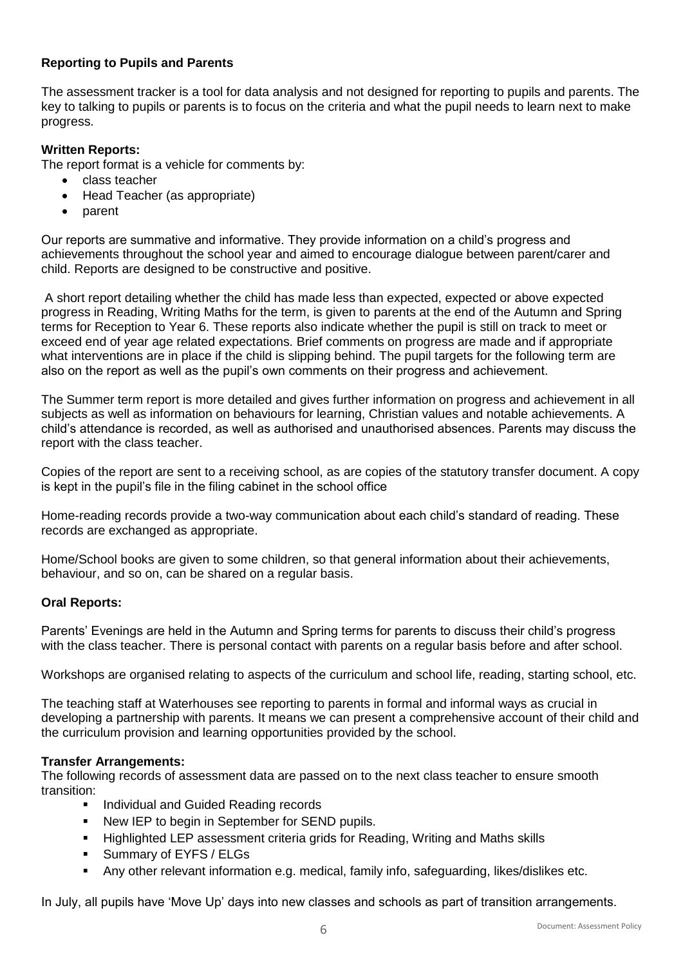# **Reporting to Pupils and Parents**

The assessment tracker is a tool for data analysis and not designed for reporting to pupils and parents. The key to talking to pupils or parents is to focus on the criteria and what the pupil needs to learn next to make progress.

# **Written Reports:**

The report format is a vehicle for comments by:

- class teacher
- Head Teacher (as appropriate)
- parent

Our reports are summative and informative. They provide information on a child's progress and achievements throughout the school year and aimed to encourage dialogue between parent/carer and child. Reports are designed to be constructive and positive.

A short report detailing whether the child has made less than expected, expected or above expected progress in Reading, Writing Maths for the term, is given to parents at the end of the Autumn and Spring terms for Reception to Year 6. These reports also indicate whether the pupil is still on track to meet or exceed end of year age related expectations. Brief comments on progress are made and if appropriate what interventions are in place if the child is slipping behind. The pupil targets for the following term are also on the report as well as the pupil's own comments on their progress and achievement.

The Summer term report is more detailed and gives further information on progress and achievement in all subjects as well as information on behaviours for learning, Christian values and notable achievements. A child's attendance is recorded, as well as authorised and unauthorised absences. Parents may discuss the report with the class teacher.

Copies of the report are sent to a receiving school, as are copies of the statutory transfer document. A copy is kept in the pupil's file in the filing cabinet in the school office

Home-reading records provide a two-way communication about each child's standard of reading. These records are exchanged as appropriate.

Home/School books are given to some children, so that general information about their achievements, behaviour, and so on, can be shared on a regular basis.

#### **Oral Reports:**

Parents' Evenings are held in the Autumn and Spring terms for parents to discuss their child's progress with the class teacher. There is personal contact with parents on a regular basis before and after school.

Workshops are organised relating to aspects of the curriculum and school life, reading, starting school, etc.

The teaching staff at Waterhouses see reporting to parents in formal and informal ways as crucial in developing a partnership with parents. It means we can present a comprehensive account of their child and the curriculum provision and learning opportunities provided by the school.

#### **Transfer Arrangements:**

The following records of assessment data are passed on to the next class teacher to ensure smooth transition:

- Individual and Guided Reading records
- New IEP to begin in September for SEND pupils.
- Highlighted LEP assessment criteria grids for Reading, Writing and Maths skills
- **Summary of EYFS / ELGs**
- Any other relevant information e.g. medical, family info, safeguarding, likes/dislikes etc.

In July, all pupils have 'Move Up' days into new classes and schools as part of transition arrangements.